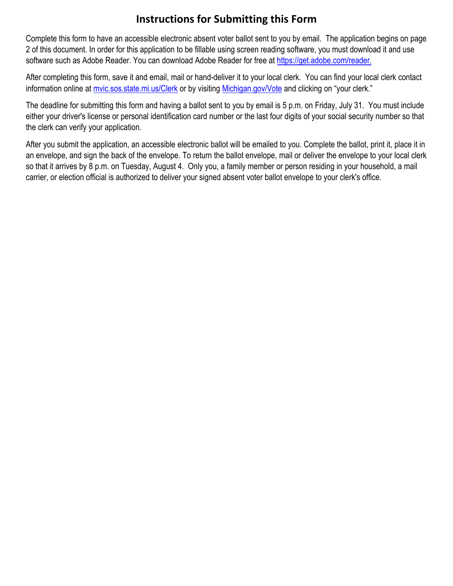## **Instructions for Submitting this Form**

 Complete this form to have an accessible electronic absent voter ballot sent to you by email. The application begins on page 2 of this document. In order for this application to be fillable [using screen reading sof](https://get.adobe.com/reader/)tware, you must download it and use software such as Adobe Reader. You can download Adobe Reader for free at [https://get.adobe.com/reader.](https://get.adobe.com/reader)

 After completing this form, save it and email, mail or hand-deliver it to your local clerk. You can find your local clerk contact information online at <u>[mvic.sos.state.mi.us/Clerk](https://mvic.sos.state.mi.us/Clerk)</u> or by visiting <u>[Michigan.gov/Vote](www.Michigan.gov/vote)</u> and clicking on "your clerk."

 The deadline for submitting this form and having a ballot sent to you by email is 5 p.m. on Friday, July 31. You must include either your driver's license or personal identification card number or the last four digits of your social security number so that the clerk can verify your application.

 an envelope, and sign the back of the envelope. To return the ballot envelope, mail or deliver the envelope to your local clerk After you submit the application, an accessible electronic ballot will be emailed to you. Complete the ballot, print it, place it in so that it arrives by 8 p.m. on Tuesday, August 4. Only you, a family member or person residing in your household, a mail carrier, or election official is authorized to deliver your signed absent voter ballot envelope to your clerk's office.